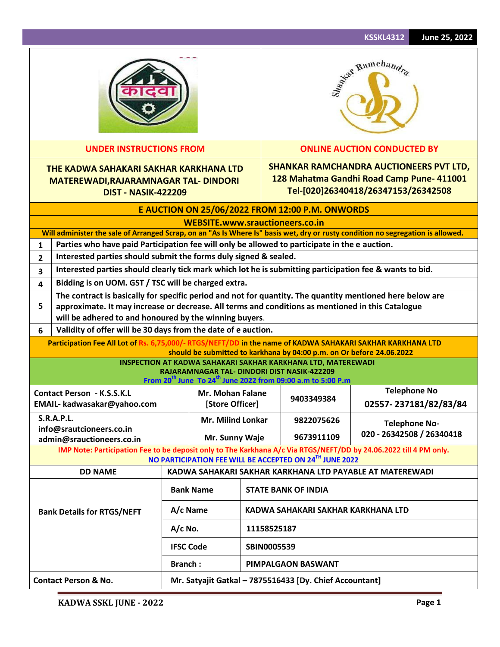|                                   |                                                                                                                                                                                                                                                                          |                |                                 |                    |                                                                                                                                                                                                    | <b>KSSKL4312</b><br>June 25, 2022                                                                                                  |  |  |  |
|-----------------------------------|--------------------------------------------------------------------------------------------------------------------------------------------------------------------------------------------------------------------------------------------------------------------------|----------------|---------------------------------|--------------------|----------------------------------------------------------------------------------------------------------------------------------------------------------------------------------------------------|------------------------------------------------------------------------------------------------------------------------------------|--|--|--|
|                                   |                                                                                                                                                                                                                                                                          |                |                                 |                    |                                                                                                                                                                                                    | Asiat Ramchandra                                                                                                                   |  |  |  |
|                                   | <b>UNDER INSTRUCTIONS FROM</b>                                                                                                                                                                                                                                           |                |                                 |                    |                                                                                                                                                                                                    | <b>ONLINE AUCTION CONDUCTED BY</b>                                                                                                 |  |  |  |
|                                   | THE KADWA SAHAKARI SAKHAR KARKHANA LTD<br><b>MATEREWADI, RAJARAMNAGAR TAL- DINDORI</b><br><b>DIST - NASIK-422209</b>                                                                                                                                                     |                |                                 |                    |                                                                                                                                                                                                    | <b>SHANKAR RAMCHANDRA AUCTIONEERS PVT LTD,</b><br>128 Mahatma Gandhi Road Camp Pune- 411001<br>Tel-[020]26340418/26347153/26342508 |  |  |  |
|                                   | E AUCTION ON 25/06/2022 FROM 12:00 P.M. ONWORDS                                                                                                                                                                                                                          |                |                                 |                    |                                                                                                                                                                                                    |                                                                                                                                    |  |  |  |
|                                   |                                                                                                                                                                                                                                                                          |                | WEBSITE.www.srauctioneers.co.in |                    |                                                                                                                                                                                                    |                                                                                                                                    |  |  |  |
|                                   |                                                                                                                                                                                                                                                                          |                |                                 |                    |                                                                                                                                                                                                    | Will administer the sale of Arranged Scrap, on an "As Is Where Is" basis wet, dry or rusty condition no segregation is allowed.    |  |  |  |
| 1                                 | Parties who have paid Participation fee will only be allowed to participate in the e auction.                                                                                                                                                                            |                |                                 |                    |                                                                                                                                                                                                    |                                                                                                                                    |  |  |  |
| $\overline{2}$                    | Interested parties should submit the forms duly signed & sealed.                                                                                                                                                                                                         |                |                                 |                    |                                                                                                                                                                                                    |                                                                                                                                    |  |  |  |
| 3                                 | Interested parties should clearly tick mark which lot he is submitting participation fee & wants to bid.                                                                                                                                                                 |                |                                 |                    |                                                                                                                                                                                                    |                                                                                                                                    |  |  |  |
| 4                                 | Bidding is on UOM. GST / TSC will be charged extra.                                                                                                                                                                                                                      |                |                                 |                    |                                                                                                                                                                                                    |                                                                                                                                    |  |  |  |
| 5                                 | The contract is basically for specific period and not for quantity. The quantity mentioned here below are<br>approximate. It may increase or decrease. All terms and conditions as mentioned in this Catalogue<br>will be adhered to and honoured by the winning buyers. |                |                                 |                    |                                                                                                                                                                                                    |                                                                                                                                    |  |  |  |
| 6                                 | Validity of offer will be 30 days from the date of e auction.                                                                                                                                                                                                            |                |                                 |                    |                                                                                                                                                                                                    |                                                                                                                                    |  |  |  |
|                                   | Participation Fee All Lot of Rs. 6,75,000/- RTGS/NEFT/DD in the name of KADWA SAHAKARI SAKHAR KARKHANA LTD                                                                                                                                                               |                |                                 |                    | should be submitted to karkhana by 04:00 p.m. on Or before 24.06.2022                                                                                                                              |                                                                                                                                    |  |  |  |
|                                   |                                                                                                                                                                                                                                                                          |                |                                 |                    | INSPECTION AT KADWA SAHAKARI SAKHAR KARKHANA LTD, MATEREWADI<br>RAJARAMNAGAR TAL- DINDORI DIST NASIK-422209<br>From 20 <sup>th</sup> June To 24 <sup>th</sup> June 2022 from 09:00 a.m to 5:00 P.m |                                                                                                                                    |  |  |  |
|                                   | <b>Contact Person - K.S.S.K.L</b>                                                                                                                                                                                                                                        |                | Mr. Mohan Falane                |                    |                                                                                                                                                                                                    | <b>Telephone No</b>                                                                                                                |  |  |  |
|                                   | EMAIL- kadwasakar@yahoo.com                                                                                                                                                                                                                                              |                | [Store Officer]                 |                    | 9403349384                                                                                                                                                                                         | 02557-237181/82/83/84                                                                                                              |  |  |  |
|                                   | <b>S.R.A.P.L.</b>                                                                                                                                                                                                                                                        |                | <b>Mr. Milind Lonkar</b>        |                    | 9822075626                                                                                                                                                                                         |                                                                                                                                    |  |  |  |
|                                   | info@srautcioneers.co.in<br>admin@srauctioneers.co.in                                                                                                                                                                                                                    |                | Mr. Sunny Waje                  |                    | 9673911109                                                                                                                                                                                         | <b>Telephone No-</b><br>020 - 26342508 / 26340418                                                                                  |  |  |  |
|                                   | IMP Note: Participation Fee to be deposit only to The Karkhana A/c Via RTGS/NEFT/DD by 24.06.2022 till 4 PM only.                                                                                                                                                        |                |                                 |                    | NO PARTICIPATION FEE WILL BE ACCEPTED ON 24TH JUNE 2022                                                                                                                                            |                                                                                                                                    |  |  |  |
|                                   | <b>DD NAME</b>                                                                                                                                                                                                                                                           |                |                                 |                    |                                                                                                                                                                                                    | KADWA SAHAKARI SAKHAR KARKHANA LTD PAYABLE AT MATEREWADI                                                                           |  |  |  |
|                                   | <b>Bank Name</b>                                                                                                                                                                                                                                                         |                |                                 |                    | <b>STATE BANK OF INDIA</b>                                                                                                                                                                         |                                                                                                                                    |  |  |  |
| <b>Bank Details for RTGS/NEFT</b> |                                                                                                                                                                                                                                                                          |                | A/c Name                        |                    | KADWA SAHAKARI SAKHAR KARKHANA LTD                                                                                                                                                                 |                                                                                                                                    |  |  |  |
|                                   |                                                                                                                                                                                                                                                                          | $A/c$ No.      |                                 | 11158525187        |                                                                                                                                                                                                    |                                                                                                                                    |  |  |  |
|                                   |                                                                                                                                                                                                                                                                          |                | <b>IFSC Code</b>                | <b>SBIN0005539</b> |                                                                                                                                                                                                    |                                                                                                                                    |  |  |  |
|                                   |                                                                                                                                                                                                                                                                          | <b>Branch:</b> |                                 | PIMPALGAON BASWANT |                                                                                                                                                                                                    |                                                                                                                                    |  |  |  |
| <b>Contact Person &amp; No.</b>   |                                                                                                                                                                                                                                                                          |                |                                 |                    | Mr. Satyajit Gatkal - 7875516433 [Dy. Chief Accountant]                                                                                                                                            |                                                                                                                                    |  |  |  |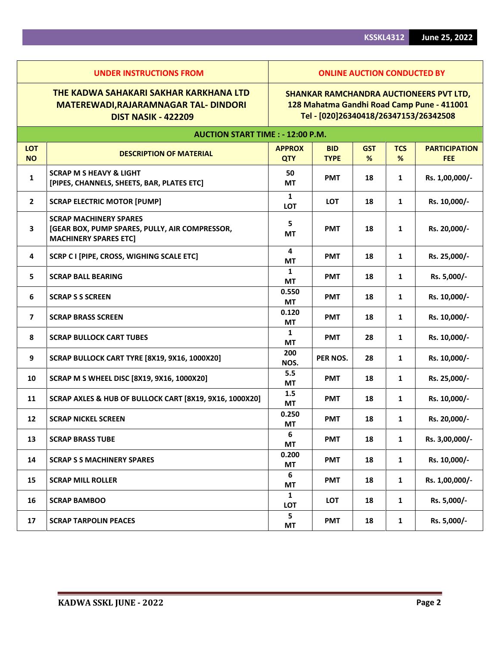|                         | THE KADWA SAHAKARI SAKHAR KARKHANA LTD<br><b>MATEREWADI, RAJARAMNAGAR TAL- DINDORI</b><br><b>DIST NASIK - 422209</b> | <b>SHANKAR RAMCHANDRA AUCTIONEERS PVT LTD,</b><br>128 Mahatma Gandhi Road Camp Pune - 411001<br>Tel - [020]26340418/26347153/26342508 |                           |                 |                 |                                    |  |  |
|-------------------------|----------------------------------------------------------------------------------------------------------------------|---------------------------------------------------------------------------------------------------------------------------------------|---------------------------|-----------------|-----------------|------------------------------------|--|--|
|                         | <b>AUCTION START TIME : - 12:00 P.M.</b>                                                                             |                                                                                                                                       |                           |                 |                 |                                    |  |  |
| <b>LOT</b><br><b>NO</b> | <b>DESCRIPTION OF MATERIAL</b>                                                                                       | <b>APPROX</b><br><b>QTY</b>                                                                                                           | <b>BID</b><br><b>TYPE</b> | <b>GST</b><br>% | <b>TCS</b><br>% | <b>PARTICIPATION</b><br><b>FEE</b> |  |  |
| 1                       | <b>SCRAP M S HEAVY &amp; LIGHT</b><br>[PIPES, CHANNELS, SHEETS, BAR, PLATES ETC]                                     | 50<br>MT                                                                                                                              | <b>PMT</b>                | 18              | 1               | Rs. 1,00,000/-                     |  |  |
| $\overline{2}$          | <b>SCRAP ELECTRIC MOTOR [PUMP]</b>                                                                                   | 1<br>LOT                                                                                                                              | <b>LOT</b>                | 18              | $\mathbf{1}$    | Rs. 10,000/-                       |  |  |
| $\overline{\mathbf{3}}$ | <b>SCRAP MACHINERY SPARES</b><br>[GEAR BOX, PUMP SPARES, PULLY, AIR COMPRESSOR,<br><b>MACHINERY SPARES ETC]</b>      | 5<br><b>MT</b>                                                                                                                        | <b>PMT</b>                | 18              | $\mathbf{1}$    | Rs. 20,000/-                       |  |  |
| 4                       | SCRP C I [PIPE, CROSS, WIGHING SCALE ETC]                                                                            | 4<br>МT                                                                                                                               | <b>PMT</b>                | 18              | 1               | Rs. 25,000/-                       |  |  |
| 5                       | <b>SCRAP BALL BEARING</b>                                                                                            | $\mathbf{1}$<br>MT                                                                                                                    | <b>PMT</b>                | 18              | $\mathbf{1}$    | Rs. 5,000/-                        |  |  |
| 6                       | <b>SCRAP S S SCREEN</b>                                                                                              | 0.550<br><b>MT</b>                                                                                                                    | <b>PMT</b>                | 18              | 1               | Rs. 10,000/-                       |  |  |
| $\overline{7}$          | <b>SCRAP BRASS SCREEN</b>                                                                                            | 0.120<br><b>MT</b>                                                                                                                    | <b>PMT</b>                | 18              | 1               | Rs. 10,000/-                       |  |  |
| 8                       | <b>SCRAP BULLOCK CART TUBES</b>                                                                                      | $\mathbf{1}$<br><b>MT</b>                                                                                                             | <b>PMT</b>                | 28              | $\mathbf{1}$    | Rs. 10,000/-                       |  |  |
| 9                       | SCRAP BULLOCK CART TYRE [8X19, 9X16, 1000X20]                                                                        | 200<br>NOS.                                                                                                                           | PER NOS.                  | 28              | 1               | Rs. 10,000/-                       |  |  |
| 10                      | SCRAP M S WHEEL DISC [8X19, 9X16, 1000X20]                                                                           | 5.5<br>МT                                                                                                                             | <b>PMT</b>                | 18              | 1               | Rs. 25,000/-                       |  |  |
| 11                      | SCRAP AXLES & HUB OF BULLOCK CART [8X19, 9X16, 1000X20]                                                              | 1.5<br>MT                                                                                                                             | <b>PMT</b>                | 18              | $\mathbf{1}$    | Rs. 10,000/-                       |  |  |
| $12 \overline{ }$       | <b>SCRAP NICKEL SCREEN</b>                                                                                           | 0.250<br>MT                                                                                                                           | <b>PMT</b>                | 18              | $\mathbf{1}$    | Rs. 20,000/-                       |  |  |
| 13                      | <b>SCRAP BRASS TUBE</b>                                                                                              | 6<br><b>MT</b>                                                                                                                        | <b>PMT</b>                | 18              | 1               | Rs. 3,00,000/-                     |  |  |
| 14                      | <b>SCRAP S S MACHINERY SPARES</b>                                                                                    | 0.200<br>МT                                                                                                                           | <b>PMT</b>                | 18              | $\mathbf{1}$    | Rs. 10,000/-                       |  |  |
| 15                      | <b>SCRAP MILL ROLLER</b>                                                                                             | 6<br>МT                                                                                                                               | <b>PMT</b>                | 18              | $\mathbf{1}$    | Rs. 1,00,000/-                     |  |  |
| 16                      | <b>SCRAP BAMBOO</b>                                                                                                  | $\mathbf{1}$<br>LOT                                                                                                                   | LOT                       | 18              | 1               | Rs. 5,000/-                        |  |  |

**17 SCRAP TARPOLIN PEACES 17 5 17 17 17** 

**MT PMT <sup>18</sup> <sup>1</sup> Rs. 5,000/-**

**UNDER INSTRUCTIONS FROM ONLINE AUCTION CONDUCTED BY**

## **SHANKAR RAMCHANDRA AUCTIONEERS PVT LTD, 128 Mahatma Gandhi Road Camp Pune - 411001**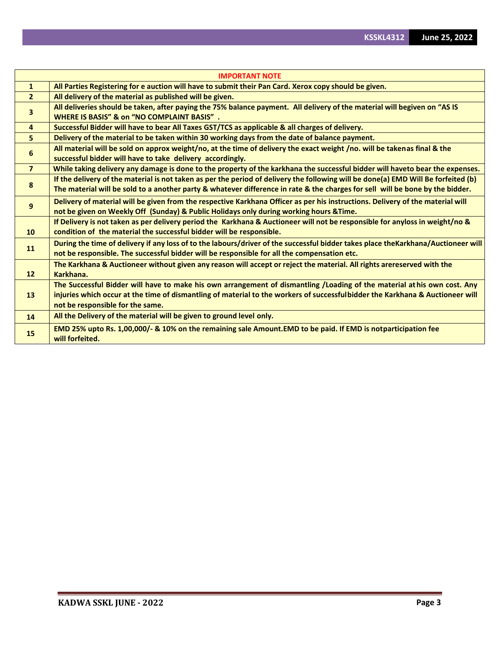|                 | <b>IMPORTANT NOTE</b>                                                                                                                                                                                                                                                                        |
|-----------------|----------------------------------------------------------------------------------------------------------------------------------------------------------------------------------------------------------------------------------------------------------------------------------------------|
| $\mathbf{1}$    | All Parties Registering for e auction will have to submit their Pan Card. Xerox copy should be given.                                                                                                                                                                                        |
| $\overline{2}$  | All delivery of the material as published will be given.                                                                                                                                                                                                                                     |
| 3               | All deliveries should be taken, after paying the 75% balance payment. All delivery of the material will begiven on "AS IS<br><b>WHERE IS BASIS" &amp; on "NO COMPLAINT BASIS".</b>                                                                                                           |
| $\overline{4}$  | Successful Bidder will have to bear All Taxes GST/TCS as applicable & all charges of delivery.                                                                                                                                                                                               |
| 5               | Delivery of the material to be taken within 30 working days from the date of balance payment.                                                                                                                                                                                                |
| 6               | All material will be sold on approx weight/no, at the time of delivery the exact weight /no. will be takenas final & the<br>successful bidder will have to take delivery accordingly.                                                                                                        |
| $\overline{7}$  | While taking delivery any damage is done to the property of the karkhana the successful bidder will haveto bear the expenses.                                                                                                                                                                |
| 8               | If the delivery of the material is not taken as per the period of delivery the following will be done(a) EMD Will Be forfeited (b)<br>The material will be sold to a another party & whatever difference in rate & the charges for sell will be bone by the bidder.                          |
| 9               | Delivery of material will be given from the respective Karkhana Officer as per his instructions. Delivery of the material will<br>not be given on Weekly Off (Sunday) & Public Holidays only during working hours & Time.                                                                    |
| 10              | If Delivery is not taken as per delivery period the Karkhana & Auctioneer will not be responsible for anyloss in weight/no &<br>condition of the material the successful bidder will be responsible.                                                                                         |
| 11              | During the time of delivery if any loss of to the labours/driver of the successful bidder takes place theKarkhana/Auctioneer will<br>not be responsible. The successful bidder will be responsible for all the compensation etc.                                                             |
| 12 <sup>2</sup> | The Karkhana & Auctioneer without given any reason will accept or reject the material. All rights arereserved with the<br>Karkhana.                                                                                                                                                          |
| 13              | The Successful Bidder will have to make his own arrangement of dismantling /Loading of the material athis own cost. Any<br>injuries which occur at the time of dismantling of material to the workers of successfulbidder the Karkhana & Auctioneer will<br>not be responsible for the same. |
| 14              | All the Delivery of the material will be given to ground level only.                                                                                                                                                                                                                         |
| 15              | EMD 25% upto Rs. 1,00,000/- & 10% on the remaining sale Amount. EMD to be paid. If EMD is notparticipation fee<br>will forfeited.                                                                                                                                                            |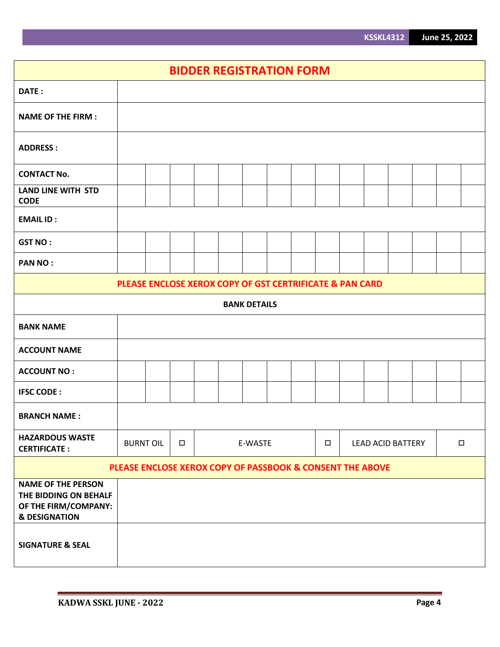|                                                                                                        | <b>BIDDER REGISTRATION FORM</b>                                                       |  |  |  |  |                     |  |  |  |  |  |
|--------------------------------------------------------------------------------------------------------|---------------------------------------------------------------------------------------|--|--|--|--|---------------------|--|--|--|--|--|
| DATE:                                                                                                  |                                                                                       |  |  |  |  |                     |  |  |  |  |  |
| <b>NAME OF THE FIRM:</b>                                                                               |                                                                                       |  |  |  |  |                     |  |  |  |  |  |
| <b>ADDRESS:</b>                                                                                        |                                                                                       |  |  |  |  |                     |  |  |  |  |  |
| <b>CONTACT No.</b>                                                                                     |                                                                                       |  |  |  |  |                     |  |  |  |  |  |
| <b>LAND LINE WITH STD</b><br><b>CODE</b>                                                               |                                                                                       |  |  |  |  |                     |  |  |  |  |  |
| <b>EMAIL ID:</b>                                                                                       |                                                                                       |  |  |  |  |                     |  |  |  |  |  |
| <b>GST NO:</b>                                                                                         |                                                                                       |  |  |  |  |                     |  |  |  |  |  |
| <b>PAN NO:</b>                                                                                         |                                                                                       |  |  |  |  |                     |  |  |  |  |  |
|                                                                                                        | PLEASE ENCLOSE XEROX COPY OF GST CERTRIFICATE & PAN CARD                              |  |  |  |  |                     |  |  |  |  |  |
|                                                                                                        |                                                                                       |  |  |  |  | <b>BANK DETAILS</b> |  |  |  |  |  |
| <b>BANK NAME</b>                                                                                       |                                                                                       |  |  |  |  |                     |  |  |  |  |  |
| <b>ACCOUNT NAME</b>                                                                                    |                                                                                       |  |  |  |  |                     |  |  |  |  |  |
| <b>ACCOUNT NO:</b>                                                                                     |                                                                                       |  |  |  |  |                     |  |  |  |  |  |
| <b>IFSC CODE:</b>                                                                                      |                                                                                       |  |  |  |  |                     |  |  |  |  |  |
| <b>BRANCH NAME:</b>                                                                                    |                                                                                       |  |  |  |  |                     |  |  |  |  |  |
| <b>HAZARDOUS WASTE</b><br><b>CERTIFICATE:</b>                                                          | <b>BURNT OIL</b><br>$\Box$<br>E-WASTE<br>$\Box$<br><b>LEAD ACID BATTERY</b><br>$\Box$ |  |  |  |  |                     |  |  |  |  |  |
| PLEASE ENCLOSE XEROX COPY OF PASSBOOK & CONSENT THE ABOVE                                              |                                                                                       |  |  |  |  |                     |  |  |  |  |  |
| <b>NAME OF THE PERSON</b><br>THE BIDDING ON BEHALF<br>OF THE FIRM/COMPANY:<br><b>&amp; DESIGNATION</b> |                                                                                       |  |  |  |  |                     |  |  |  |  |  |
| <b>SIGNATURE &amp; SEAL</b>                                                                            |                                                                                       |  |  |  |  |                     |  |  |  |  |  |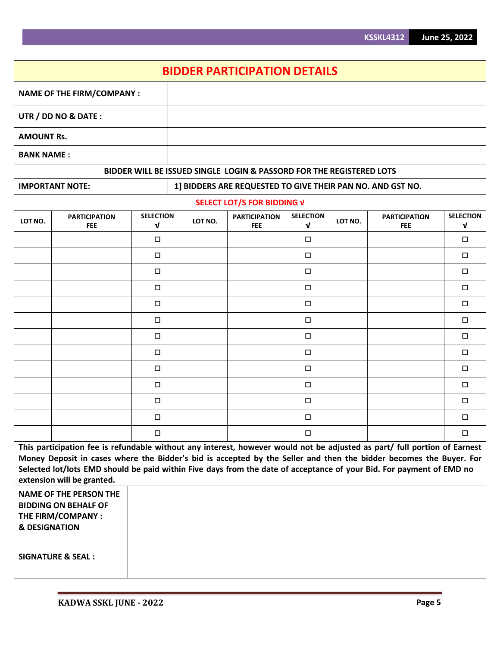|                                                                                                                                                                                                                                                                                                                                                                                                                                                                       |                                    |                                 |  |         | <b>BIDDER PARTICIPATION DETAILS</b>                                  |                                  |         |                                    |                                 |
|-----------------------------------------------------------------------------------------------------------------------------------------------------------------------------------------------------------------------------------------------------------------------------------------------------------------------------------------------------------------------------------------------------------------------------------------------------------------------|------------------------------------|---------------------------------|--|---------|----------------------------------------------------------------------|----------------------------------|---------|------------------------------------|---------------------------------|
| <b>NAME OF THE FIRM/COMPANY:</b>                                                                                                                                                                                                                                                                                                                                                                                                                                      |                                    |                                 |  |         |                                                                      |                                  |         |                                    |                                 |
|                                                                                                                                                                                                                                                                                                                                                                                                                                                                       | UTR / DD NO & DATE:                |                                 |  |         |                                                                      |                                  |         |                                    |                                 |
| <b>AMOUNT Rs.</b>                                                                                                                                                                                                                                                                                                                                                                                                                                                     |                                    |                                 |  |         |                                                                      |                                  |         |                                    |                                 |
| <b>BANK NAME:</b>                                                                                                                                                                                                                                                                                                                                                                                                                                                     |                                    |                                 |  |         |                                                                      |                                  |         |                                    |                                 |
|                                                                                                                                                                                                                                                                                                                                                                                                                                                                       |                                    |                                 |  |         | BIDDER WILL BE ISSUED SINGLE LOGIN & PASSORD FOR THE REGISTERED LOTS |                                  |         |                                    |                                 |
|                                                                                                                                                                                                                                                                                                                                                                                                                                                                       | <b>IMPORTANT NOTE:</b>             |                                 |  |         | 1] BIDDERS ARE REQUESTED TO GIVE THEIR PAN NO. AND GST NO.           |                                  |         |                                    |                                 |
|                                                                                                                                                                                                                                                                                                                                                                                                                                                                       |                                    |                                 |  |         | SELECT LOT/S FOR BIDDING V                                           |                                  |         |                                    |                                 |
| LOT NO.                                                                                                                                                                                                                                                                                                                                                                                                                                                               | <b>PARTICIPATION</b><br><b>FEE</b> | <b>SELECTION</b><br>$\mathbf v$ |  | LOT NO. | <b>PARTICIPATION</b><br><b>FEE</b>                                   | <b>SELECTION</b><br>$\mathbf{V}$ | LOT NO. | <b>PARTICIPATION</b><br><b>FEE</b> | <b>SELECTION</b><br>$\mathbf v$ |
|                                                                                                                                                                                                                                                                                                                                                                                                                                                                       |                                    | $\Box$                          |  |         |                                                                      | $\Box$                           |         |                                    | $\Box$                          |
|                                                                                                                                                                                                                                                                                                                                                                                                                                                                       |                                    | $\Box$                          |  |         |                                                                      | $\Box$                           |         |                                    | $\Box$                          |
|                                                                                                                                                                                                                                                                                                                                                                                                                                                                       |                                    | □                               |  |         |                                                                      | $\Box$                           |         |                                    | $\Box$                          |
|                                                                                                                                                                                                                                                                                                                                                                                                                                                                       |                                    | $\Box$                          |  |         |                                                                      | $\Box$                           |         |                                    | $\Box$                          |
|                                                                                                                                                                                                                                                                                                                                                                                                                                                                       |                                    | $\Box$                          |  |         |                                                                      | $\Box$                           |         |                                    | $\Box$                          |
|                                                                                                                                                                                                                                                                                                                                                                                                                                                                       |                                    | $\Box$                          |  |         |                                                                      | □                                |         |                                    | $\Box$                          |
|                                                                                                                                                                                                                                                                                                                                                                                                                                                                       |                                    | $\Box$                          |  |         |                                                                      | $\Box$                           |         |                                    | $\Box$                          |
|                                                                                                                                                                                                                                                                                                                                                                                                                                                                       |                                    | $\Box$                          |  |         |                                                                      | $\Box$                           |         |                                    | $\Box$                          |
|                                                                                                                                                                                                                                                                                                                                                                                                                                                                       |                                    | $\Box$                          |  |         |                                                                      | $\Box$                           |         |                                    | $\Box$                          |
|                                                                                                                                                                                                                                                                                                                                                                                                                                                                       |                                    | □                               |  |         |                                                                      | □                                |         |                                    | □                               |
|                                                                                                                                                                                                                                                                                                                                                                                                                                                                       |                                    | $\Box$                          |  |         |                                                                      | $\Box$                           |         |                                    | □                               |
|                                                                                                                                                                                                                                                                                                                                                                                                                                                                       |                                    | $\Box$                          |  |         |                                                                      | $\Box$                           |         |                                    | $\Box$                          |
|                                                                                                                                                                                                                                                                                                                                                                                                                                                                       |                                    | $\Box$                          |  |         |                                                                      | $\Box$                           |         |                                    | $\Box$                          |
| This participation fee is refundable without any interest, however would not be adjusted as part/ full portion of Earnest<br>Money Deposit in cases where the Bidder's bid is accepted by the Seller and then the bidder becomes the Buyer. For<br>Selected lot/lots EMD should be paid within Five days from the date of acceptance of your Bid. For payment of EMD no<br>extension will be granted.<br><b>NAME OF THE PERSON THE</b><br><b>BIDDING ON BEHALF OF</b> |                                    |                                 |  |         |                                                                      |                                  |         |                                    |                                 |
| THE FIRM/COMPANY :<br><b>&amp; DESIGNATION</b>                                                                                                                                                                                                                                                                                                                                                                                                                        |                                    |                                 |  |         |                                                                      |                                  |         |                                    |                                 |
|                                                                                                                                                                                                                                                                                                                                                                                                                                                                       | <b>SIGNATURE &amp; SEAL:</b>       |                                 |  |         |                                                                      |                                  |         |                                    |                                 |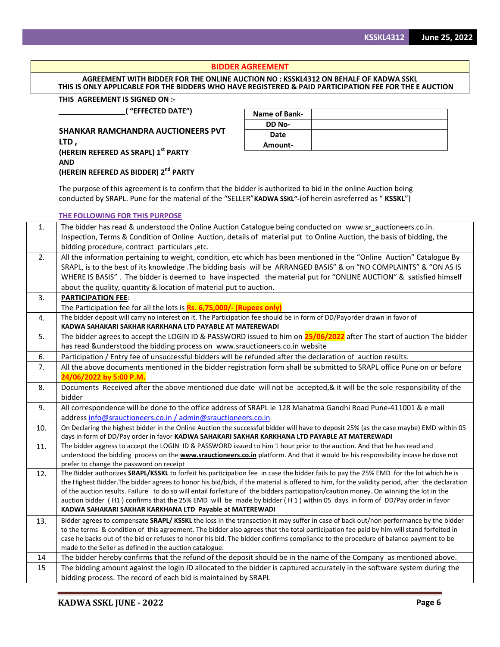## **BIDDER AGREEMENT**

## **AGREEMENT WITH BIDDER FOR THE ONLINE AUCTION NO : KSSKL4312 ON BEHALF OF KADWA SSKL** THIS IS ONLY APPLICABLE FOR THE BIDDERS WHO HAVE REGISTERED & PAID PARTICIPATION FEE FOR THE E AUCTION

## **THIS AGREEMENT IS SIGNED ON :-**

**( "EFFECTED DATE")**

**SHANKAR RAMCHANDRA AUCTIONEERS PVT LTD , (HEREIN REFERED AS SRAPL) 1st PARTY AND (HEREIN REFERED AS BIDDER) 2 nd PARTY**

| Name of Bank- |  |
|---------------|--|
| DD No-        |  |
| Date          |  |
| Amount-       |  |

The purpose of this agreement is to confirm that the bidder is authorized to bid in the online Auction being conducted by SRAPL. Pune for the material of the "SELLER"**KADWA SSKL"-**(of herein asreferred as " **KSSKL**")

|     | <b>THE FOLLOWING FOR THIS PURPOSE</b>                                                                                                                                                       |
|-----|---------------------------------------------------------------------------------------------------------------------------------------------------------------------------------------------|
| 1.  | The bidder has read & understood the Online Auction Catalogue being conducted on www.sr_auctioneers.co.in.                                                                                  |
|     | Inspection, Terms & Condition of Online Auction, details of material put to Online Auction, the basis of bidding, the                                                                       |
|     | bidding procedure, contract particulars, etc.                                                                                                                                               |
| 2.  | All the information pertaining to weight, condition, etc which has been mentioned in the "Online Auction" Catalogue By                                                                      |
|     | SRAPL, is to the best of its knowledge .The bidding basis will be ARRANGED BASIS" & on "NO COMPLAINTS" & "ON AS IS                                                                          |
|     | WHERE IS BASIS". The bidder is deemed to have inspected the material put for "ONLINE AUCTION" & satisfied himself                                                                           |
|     | about the quality, quantity & location of material put to auction.                                                                                                                          |
| 3.  | <b>PARTICIPATION FEE:</b>                                                                                                                                                                   |
|     | The Participation fee for all the lots is Rs. 6,75,000/- (Rupees only)                                                                                                                      |
| 4.  | The bidder deposit will carry no interest on it. The Participation fee should be in form of DD/Payorder drawn in favor of                                                                   |
| 5.  | KADWA SAHAKARI SAKHAR KARKHANA LTD PAYABLE AT MATEREWADI<br>The bidder agrees to accept the LOGIN ID & PASSWORD issued to him on 25/06/2022 after The start of auction The bidder           |
|     |                                                                                                                                                                                             |
| 6.  | has read &understood the bidding process on www.srauctioneers.co.in website<br>Participation / Entry fee of unsuccessful bidders will be refunded after the declaration of auction results. |
| 7.  |                                                                                                                                                                                             |
|     | All the above documents mentioned in the bidder registration form shall be submitted to SRAPL office Pune on or before<br>24/06/2022 by 5:00 P.M.                                           |
| 8.  | Documents Received after the above mentioned due date will not be accepted, & it will be the sole responsibility of the                                                                     |
|     | bidder                                                                                                                                                                                      |
| 9.  | All correspondence will be done to the office address of SRAPL ie 128 Mahatma Gandhi Road Pune-411001 & e mail                                                                              |
|     | address info@srauctioneers.co.in / admin@srauctioneers.co.in                                                                                                                                |
| 10. | On Declaring the highest bidder in the Online Auction the successful bidder will have to deposit 25% (as the case maybe) EMD within 05                                                      |
|     | days in form of DD/Pay order in favor KADWA SAHAKARI SAKHAR KARKHANA LTD PAYABLE AT MATEREWADI                                                                                              |
| 11. | The bidder aggress to accept the LOGIN ID & PASSWORD issued to him 1 hour prior to the auction. And that he has read and                                                                    |
|     | understood the bidding process on the <b>www.srauctioneers.co.in</b> platform. And that it would be his responsibility incase he dose not                                                   |
| 12. | prefer to change the password on receipt<br>The Bidder authorizes SRAPL/KSSKL to forfeit his participation fee in case the bidder fails to pay the 25% EMD for the lot which he is          |
|     | the Highest Bidder. The bidder agrees to honor his bid/bids, if the material is offered to him, for the validity period, after the declaration                                              |
|     | of the auction results. Failure to do so will entail forfeiture of the bidders participation/caution money. On winning the lot in the                                                       |
|     | auction bidder (H1) confirms that the 25% EMD will be made by bidder (H1) within 05 days in form of DD/Pay order in favor                                                                   |
|     | KADWA SAHAKARI SAKHAR KARKHANA LTD Payable at MATEREWADI                                                                                                                                    |
| 13. | Bidder agrees to compensate SRAPL/ KSSKL the loss in the transaction it may suffer in case of back out/non performance by the bidder                                                        |
|     | to the terms & condition of this agreement. The bidder also agrees that the total participation fee paid by him will stand forfeited in                                                     |
|     | case he backs out of the bid or refuses to honor his bid. The bidder confirms compliance to the procedure of balance payment to be                                                          |
|     | made to the Seller as defined in the auction catalogue.                                                                                                                                     |
| 14  | The bidder hereby confirms that the refund of the deposit should be in the name of the Company as mentioned above.                                                                          |
| 15  | The bidding amount against the login ID allocated to the bidder is captured accurately in the software system during the                                                                    |
|     | bidding process. The record of each bid is maintained by SRAPL                                                                                                                              |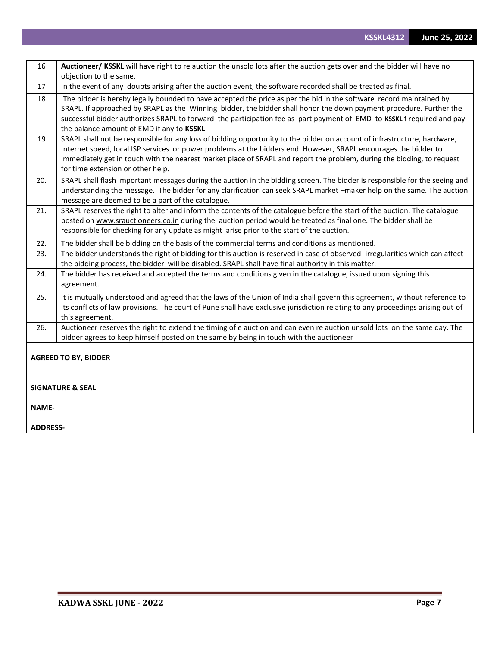| 16              | Auctioneer/ KSSKL will have right to re auction the unsold lots after the auction gets over and the bidder will have no<br>objection to the same.                                                                                                                                                                                                                                                                |
|-----------------|------------------------------------------------------------------------------------------------------------------------------------------------------------------------------------------------------------------------------------------------------------------------------------------------------------------------------------------------------------------------------------------------------------------|
| 17              | In the event of any doubts arising after the auction event, the software recorded shall be treated as final.                                                                                                                                                                                                                                                                                                     |
| 18              | The bidder is hereby legally bounded to have accepted the price as per the bid in the software record maintained by<br>SRAPL. If approached by SRAPL as the Winning bidder, the bidder shall honor the down payment procedure. Further the<br>successful bidder authorizes SRAPL to forward the participation fee as part payment of EMD to KSSKL frequired and pay<br>the balance amount of EMD if any to KSSKL |
| 19              | SRAPL shall not be responsible for any loss of bidding opportunity to the bidder on account of infrastructure, hardware,<br>Internet speed, local ISP services or power problems at the bidders end. However, SRAPL encourages the bidder to<br>immediately get in touch with the nearest market place of SRAPL and report the problem, during the bidding, to request<br>for time extension or other help.      |
| 20.             | SRAPL shall flash important messages during the auction in the bidding screen. The bidder is responsible for the seeing and<br>understanding the message. The bidder for any clarification can seek SRAPL market -maker help on the same. The auction<br>message are deemed to be a part of the catalogue.                                                                                                       |
| 21.             | SRAPL reserves the right to alter and inform the contents of the catalogue before the start of the auction. The catalogue<br>posted on www.srauctioneers.co.in during the auction period would be treated as final one. The bidder shall be<br>responsible for checking for any update as might arise prior to the start of the auction.                                                                         |
| 22.             | The bidder shall be bidding on the basis of the commercial terms and conditions as mentioned.                                                                                                                                                                                                                                                                                                                    |
| 23.             | The bidder understands the right of bidding for this auction is reserved in case of observed irregularities which can affect<br>the bidding process, the bidder will be disabled. SRAPL shall have final authority in this matter.                                                                                                                                                                               |
| 24.             | The bidder has received and accepted the terms and conditions given in the catalogue, issued upon signing this<br>agreement.                                                                                                                                                                                                                                                                                     |
| 25.             | It is mutually understood and agreed that the laws of the Union of India shall govern this agreement, without reference to<br>its conflicts of law provisions. The court of Pune shall have exclusive jurisdiction relating to any proceedings arising out of<br>this agreement.                                                                                                                                 |
| 26.             | Auctioneer reserves the right to extend the timing of e auction and can even re auction unsold lots on the same day. The<br>bidder agrees to keep himself posted on the same by being in touch with the auctioneer                                                                                                                                                                                               |
|                 | <b>AGREED TO BY, BIDDER</b>                                                                                                                                                                                                                                                                                                                                                                                      |
|                 | <b>SIGNATURE &amp; SEAL</b>                                                                                                                                                                                                                                                                                                                                                                                      |
| <b>NAME-</b>    |                                                                                                                                                                                                                                                                                                                                                                                                                  |
| <b>ADDRESS-</b> |                                                                                                                                                                                                                                                                                                                                                                                                                  |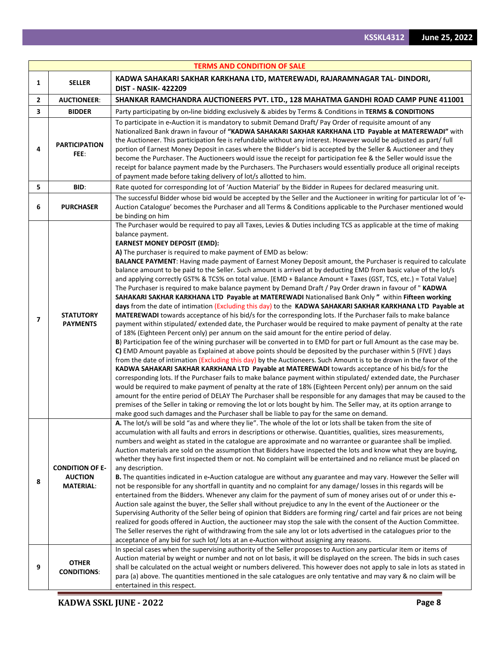|   |                                                              | <b>TERMS AND CONDITION OF SALE</b>                                                                                                                                                                                                                                                                                                                                                                                                                                                                                                                                                                                                                                                                                                                                                                                                                                                                                                                                                                                                                                                                                                                                                                                                                                                                                                                                                                                                                                                                                                                                                                                                                                                                                                                                                                                                                                                                                                                                                                                                                                                                                                                                                                                                                                                                                            |
|---|--------------------------------------------------------------|-------------------------------------------------------------------------------------------------------------------------------------------------------------------------------------------------------------------------------------------------------------------------------------------------------------------------------------------------------------------------------------------------------------------------------------------------------------------------------------------------------------------------------------------------------------------------------------------------------------------------------------------------------------------------------------------------------------------------------------------------------------------------------------------------------------------------------------------------------------------------------------------------------------------------------------------------------------------------------------------------------------------------------------------------------------------------------------------------------------------------------------------------------------------------------------------------------------------------------------------------------------------------------------------------------------------------------------------------------------------------------------------------------------------------------------------------------------------------------------------------------------------------------------------------------------------------------------------------------------------------------------------------------------------------------------------------------------------------------------------------------------------------------------------------------------------------------------------------------------------------------------------------------------------------------------------------------------------------------------------------------------------------------------------------------------------------------------------------------------------------------------------------------------------------------------------------------------------------------------------------------------------------------------------------------------------------------|
| 1 | <b>SELLER</b>                                                | KADWA SAHAKARI SAKHAR KARKHANA LTD, MATEREWADI, RAJARAMNAGAR TAL- DINDORI,<br><b>DIST - NASIK-422209</b>                                                                                                                                                                                                                                                                                                                                                                                                                                                                                                                                                                                                                                                                                                                                                                                                                                                                                                                                                                                                                                                                                                                                                                                                                                                                                                                                                                                                                                                                                                                                                                                                                                                                                                                                                                                                                                                                                                                                                                                                                                                                                                                                                                                                                      |
| 2 | <b>AUCTIONEER:</b>                                           | SHANKAR RAMCHANDRA AUCTIONEERS PVT. LTD., 128 MAHATMA GANDHI ROAD CAMP PUNE 411001                                                                                                                                                                                                                                                                                                                                                                                                                                                                                                                                                                                                                                                                                                                                                                                                                                                                                                                                                                                                                                                                                                                                                                                                                                                                                                                                                                                                                                                                                                                                                                                                                                                                                                                                                                                                                                                                                                                                                                                                                                                                                                                                                                                                                                            |
| 3 | <b>BIDDER</b>                                                | Party participating by on-line bidding exclusively & abides by Terms & Conditions in TERMS & CONDITIONS                                                                                                                                                                                                                                                                                                                                                                                                                                                                                                                                                                                                                                                                                                                                                                                                                                                                                                                                                                                                                                                                                                                                                                                                                                                                                                                                                                                                                                                                                                                                                                                                                                                                                                                                                                                                                                                                                                                                                                                                                                                                                                                                                                                                                       |
| 4 | <b>PARTICIPATION</b><br>FEE:                                 | To participate in e-Auction it is mandatory to submit Demand Draft/ Pay Order of requisite amount of any<br>Nationalized Bank drawn in favour of "KADWA SAHAKARI SAKHAR KARKHANA LTD Payable at MATEREWADI" with<br>the Auctioneer. This participation fee is refundable without any interest. However would be adjusted as part/ full<br>portion of Earnest Money Deposit in cases where the Bidder's bid is accepted by the Seller & Auctioneer and they<br>become the Purchaser. The Auctioneers would issue the receipt for participation fee & the Seller would issue the<br>receipt for balance payment made by the Purchasers. The Purchasers would essentially produce all original receipts<br>of payment made before taking delivery of lot/s allotted to him.                                                                                                                                                                                                                                                                                                                                                                                                                                                                                                                                                                                                                                                                                                                                                                                                                                                                                                                                                                                                                                                                                                                                                                                                                                                                                                                                                                                                                                                                                                                                                      |
| 5 | BID:                                                         | Rate quoted for corresponding lot of 'Auction Material' by the Bidder in Rupees for declared measuring unit.                                                                                                                                                                                                                                                                                                                                                                                                                                                                                                                                                                                                                                                                                                                                                                                                                                                                                                                                                                                                                                                                                                                                                                                                                                                                                                                                                                                                                                                                                                                                                                                                                                                                                                                                                                                                                                                                                                                                                                                                                                                                                                                                                                                                                  |
| 6 | <b>PURCHASER</b>                                             | The successful Bidder whose bid would be accepted by the Seller and the Auctioneer in writing for particular lot of 'e-<br>Auction Catalogue' becomes the Purchaser and all Terms & Conditions applicable to the Purchaser mentioned would<br>be binding on him                                                                                                                                                                                                                                                                                                                                                                                                                                                                                                                                                                                                                                                                                                                                                                                                                                                                                                                                                                                                                                                                                                                                                                                                                                                                                                                                                                                                                                                                                                                                                                                                                                                                                                                                                                                                                                                                                                                                                                                                                                                               |
| 7 | <b>STATUTORY</b><br><b>PAYMENTS</b>                          | The Purchaser would be required to pay all Taxes, Levies & Duties including TCS as applicable at the time of making<br>balance payment.<br><b>EARNEST MONEY DEPOSIT (EMD):</b><br>A) The purchaser is required to make payment of EMD as below:<br>BALANCE PAYMENT: Having made payment of Earnest Money Deposit amount, the Purchaser is required to calculate<br>balance amount to be paid to the Seller. Such amount is arrived at by deducting EMD from basic value of the lot/s<br>and applying correctly GST% & TCS% on total value. [EMD + Balance Amount + Taxes (GST, TCS, etc.) = Total Value]<br>The Purchaser is required to make balance payment by Demand Draft / Pay Order drawn in favour of " KADWA<br>SAHAKARI SAKHAR KARKHANA LTD Payable at MATEREWADI Nationalised Bank Only " within Fifteen working<br>days from the date of intimation (Excluding this day) to the KADWA SAHAKARI SAKHAR KARKHANA LTD Payable at<br>MATEREWADI towards acceptance of his bid/s for the corresponding lots. If the Purchaser fails to make balance<br>payment within stipulated/extended date, the Purchaser would be required to make payment of penalty at the rate<br>of 18% (Eighteen Percent only) per annum on the said amount for the entire period of delay.<br>B) Participation fee of the wining purchaser will be converted in to EMD for part or full Amount as the case may be.<br>C) EMD Amount payable as Explained at above points should be deposited by the purchaser within 5 (FIVE) days<br>from the date of intimation (Excluding this day) by the Auctioneers. Such Amount is to be drown in the favor of the<br>KADWA SAHAKARI SAKHAR KARKHANA LTD Payable at MATEREWADI towards acceptance of his bid/s for the<br>corresponding lots. If the Purchaser fails to make balance payment within stipulated/extended date, the Purchaser<br>would be required to make payment of penalty at the rate of 18% (Eighteen Percent only) per annum on the said<br>amount for the entire period of DELAY The Purchaser shall be responsible for any damages that may be caused to the<br>premises of the Seller in taking or removing the lot or lots bought by him. The Seller may, at its option arrange to<br>make good such damages and the Purchaser shall be liable to pay for the same on demand. |
| 8 | <b>CONDITION OF E-</b><br><b>AUCTION</b><br><b>MATERIAL:</b> | A. The lot/s will be sold "as and where they lie". The whole of the lot or lots shall be taken from the site of<br>accumulation with all faults and errors in descriptions or otherwise. Quantities, qualities, sizes measurements,<br>numbers and weight as stated in the catalogue are approximate and no warrantee or guarantee shall be implied.<br>Auction materials are sold on the assumption that Bidders have inspected the lots and know what they are buying,<br>whether they have first inspected them or not. No complaint will be entertained and no reliance must be placed on<br>any description.<br>B. The quantities indicated in e-Auction catalogue are without any guarantee and may vary. However the Seller will<br>not be responsible for any shortfall in quantity and no complaint for any damage/ losses in this regards will be<br>entertained from the Bidders. Whenever any claim for the payment of sum of money arises out of or under this e-<br>Auction sale against the buyer, the Seller shall without prejudice to any In the event of the Auctioneer or the<br>Supervising Authority of the Seller being of opinion that Bidders are forming ring/ cartel and fair prices are not being<br>realized for goods offered in Auction, the auctioneer may stop the sale with the consent of the Auction Committee.<br>The Seller reserves the right of withdrawing from the sale any lot or lots advertised in the catalogues prior to the<br>acceptance of any bid for such lot/ lots at an e-Auction without assigning any reasons.                                                                                                                                                                                                                                                                                                                                                                                                                                                                                                                                                                                                                                                                                                                                                        |
| 9 | <b>OTHER</b><br><b>CONDITIONS:</b>                           | In special cases when the supervising authority of the Seller proposes to Auction any particular item or items of<br>Auction material by weight or number and not on lot basis, it will be displayed on the screen. The bids in such cases<br>shall be calculated on the actual weight or numbers delivered. This however does not apply to sale in lots as stated in<br>para (a) above. The quantities mentioned in the sale catalogues are only tentative and may vary & no claim will be<br>entertained in this respect.                                                                                                                                                                                                                                                                                                                                                                                                                                                                                                                                                                                                                                                                                                                                                                                                                                                                                                                                                                                                                                                                                                                                                                                                                                                                                                                                                                                                                                                                                                                                                                                                                                                                                                                                                                                                   |